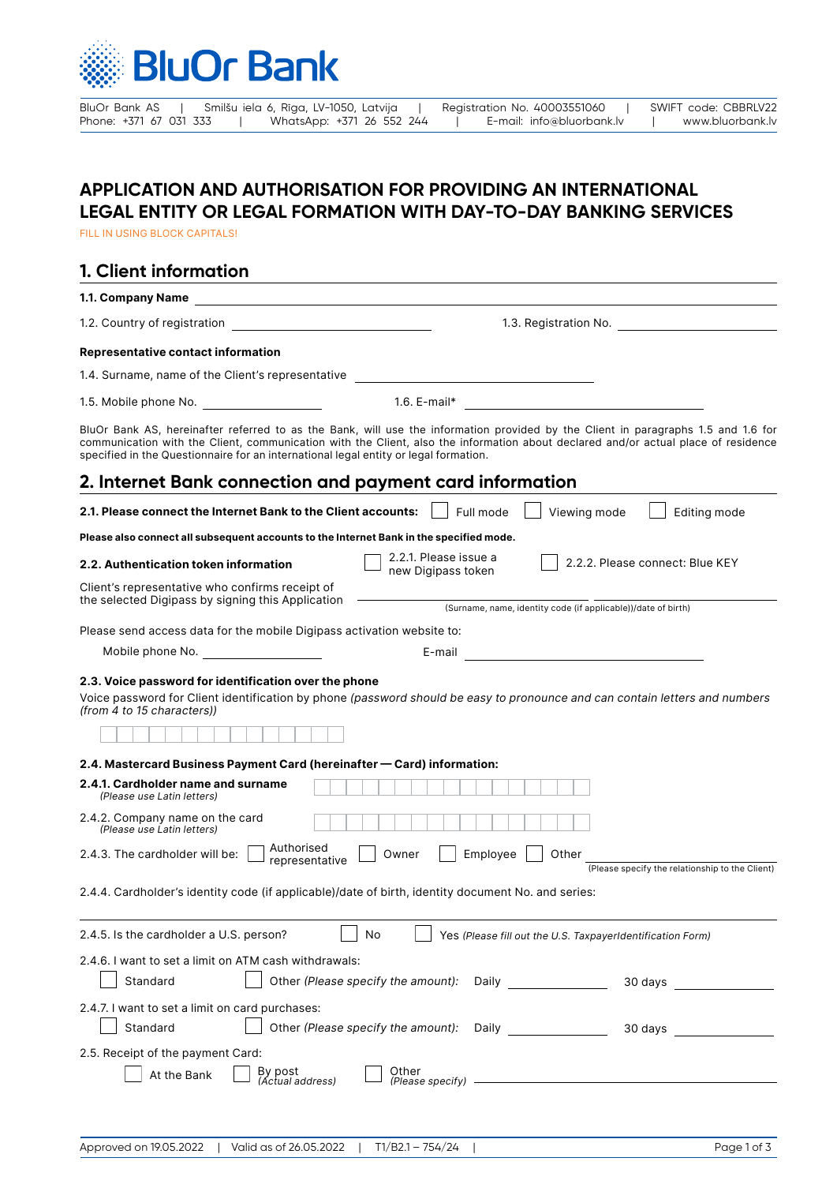

BluOr Bank AS | Smilšu iela 6, Rīga, LV-1050, Latvija | Registration No. 40003551060 | SWIFT code: CBBRLV22<br>Phone: +371 67 031 333 | WhatsApp: +371 26 552 244 | E-mail: info@bluorbank.lv | www.bluorbank.lv Phone: +371 26 552 244 | E-mail: info@bluorbank.lv | www.bluorbank.lv

## **APPLICATION AND AUTHORISATION FOR PROVIDING AN INTERNATIONAL LEGAL ENTITY OR LEGAL FORMATION WITH DAY-TO-DAY BANKING SERVICES**

FILL IN USING BLOCK CAPITALS!

## **1. Client information**

| 1.1. Company Name                                                                                               |                                                                                                                                                                                                                                                                                               |
|-----------------------------------------------------------------------------------------------------------------|-----------------------------------------------------------------------------------------------------------------------------------------------------------------------------------------------------------------------------------------------------------------------------------------------|
| 1.2. Country of registration                                                                                    |                                                                                                                                                                                                                                                                                               |
| <b>Representative contact information</b>                                                                       |                                                                                                                                                                                                                                                                                               |
| 1.4. Surname, name of the Client's representative                                                               | the control of the control of the control of the control of the control of                                                                                                                                                                                                                    |
| 1.5. Mobile phone No.                                                                                           | 1.6. $E$ -mail*                                                                                                                                                                                                                                                                               |
| specified in the Questionnaire for an international legal entity or legal formation.                            | BluOr Bank AS, hereinafter referred to as the Bank, will use the information provided by the Client in paragraphs 1.5 and 1.6 for<br>communication with the Client, communication with the Client, also the information about declared and/or actual place of residence                       |
| 2. Internet Bank connection and payment card information                                                        |                                                                                                                                                                                                                                                                                               |
| 2.1. Please connect the Internet Bank to the Client accounts:                                                   | Full mode<br>Viewing mode<br>Editing mode                                                                                                                                                                                                                                                     |
| Please also connect all subsequent accounts to the Internet Bank in the specified mode.                         |                                                                                                                                                                                                                                                                                               |
| 2.2. Authentication token information                                                                           | 2.2.1. Please issue a<br>2.2.2. Please connect: Blue KEY<br>new Digipass token                                                                                                                                                                                                                |
| Client's representative who confirms receipt of<br>the selected Digipass by signing this Application            |                                                                                                                                                                                                                                                                                               |
|                                                                                                                 | (Surname, name, identity code (if applicable))/date of birth)                                                                                                                                                                                                                                 |
| Please send access data for the mobile Digipass activation website to:                                          |                                                                                                                                                                                                                                                                                               |
| Mobile phone No. The state of the state of the state of the state of the state of the state of the state of the | <u> 1980 - Jan Barbara Barbara, maska karatan da</u><br>E-mail                                                                                                                                                                                                                                |
| 2.4. Mastercard Business Payment Card (hereinafter — Card) information:                                         |                                                                                                                                                                                                                                                                                               |
| 2.4.1. Cardholder name and surname<br>(Please use Latin letters)                                                |                                                                                                                                                                                                                                                                                               |
| 2.4.2. Company name on the card<br>(Please use Latin letters)                                                   |                                                                                                                                                                                                                                                                                               |
| Authorised<br>2.4.3. The cardholder will be:<br>representative                                                  | Employee<br>Owner<br>Other<br>(Please specify the relationship to the Client)                                                                                                                                                                                                                 |
| 2.4.4. Cardholder's identity code (if applicable)/date of birth, identity document No. and series:              |                                                                                                                                                                                                                                                                                               |
| 2.4.5. Is the cardholder a U.S. person?                                                                         | No<br>Yes (Please fill out the U.S. TaxpayerIdentification Form)                                                                                                                                                                                                                              |
| 2.4.6. I want to set a limit on ATM cash withdrawals:<br>Standard                                               | Other (Please specify the amount):<br>Daily ________________<br>30 days                                                                                                                                                                                                                       |
| 2.4.7. I want to set a limit on card purchases:                                                                 |                                                                                                                                                                                                                                                                                               |
| Standard                                                                                                        | Other (Please specify the amount):    Daily _______________<br>30 days and the state of the state of the state of the state of the state of the state of the state of the state of the state of the state of the state of the state of the state of the state of the state of the state of th |
| 2.5. Receipt of the payment Card:<br>By post<br>(Actual address)<br>At the Bank                                 | Other<br>$(Please specify)$ $\qquad$                                                                                                                                                                                                                                                          |
|                                                                                                                 |                                                                                                                                                                                                                                                                                               |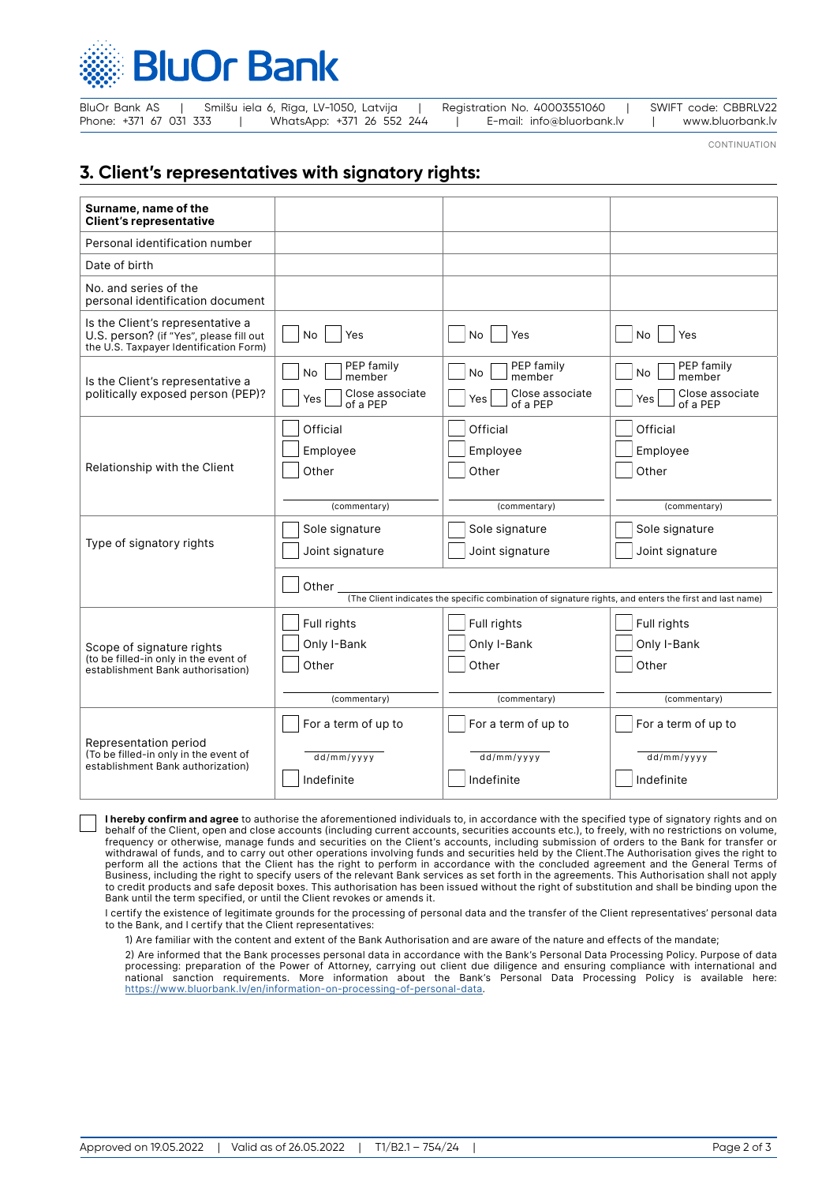

| BluOr Bank AS          |  | Smilšu iela 6, Rīga, LV-1050, Latvija |  | Registration No. 40003551060 | SWIFT code: CBBRLV22 |
|------------------------|--|---------------------------------------|--|------------------------------|----------------------|
| Phone: +371 67 031 333 |  | WhatsApp: +371 26 552 244             |  | E-mail: info@bluorbank.lv    | www.bluorbank.lv     |

CONTINUATION

## **3. Client's representatives with signatory rights:**

| Surname, name of the<br><b>Client's representative</b>                                                                |                                                                                                         |                                    |                                    |  |  |  |
|-----------------------------------------------------------------------------------------------------------------------|---------------------------------------------------------------------------------------------------------|------------------------------------|------------------------------------|--|--|--|
| Personal identification number                                                                                        |                                                                                                         |                                    |                                    |  |  |  |
| Date of birth                                                                                                         |                                                                                                         |                                    |                                    |  |  |  |
| No. and series of the<br>personal identification document                                                             |                                                                                                         |                                    |                                    |  |  |  |
| Is the Client's representative a<br>U.S. person? (if "Yes", please fill out<br>the U.S. Taxpayer Identification Form) | No.<br>Yes                                                                                              | No<br>Yes                          | No<br>Yes                          |  |  |  |
| Is the Client's representative a                                                                                      | PEP family<br>No<br>member                                                                              | PEP family<br>No<br>member         | PEP family<br>No<br>member         |  |  |  |
| politically exposed person (PEP)?                                                                                     | Close associate<br>Yes<br>of a PEP                                                                      | Close associate<br>Yes<br>of a PEP | Close associate<br>Yes<br>of a PEP |  |  |  |
|                                                                                                                       | Official                                                                                                | Official                           | Official                           |  |  |  |
|                                                                                                                       | Employee                                                                                                | Employee                           | Employee                           |  |  |  |
| Relationship with the Client                                                                                          | Other                                                                                                   | Other                              | Other                              |  |  |  |
|                                                                                                                       |                                                                                                         |                                    |                                    |  |  |  |
|                                                                                                                       | (commentary)                                                                                            | (commentary)                       | (commentary)                       |  |  |  |
| Type of signatory rights                                                                                              | Sole signature                                                                                          | Sole signature                     | Sole signature                     |  |  |  |
|                                                                                                                       | Joint signature                                                                                         | Joint signature                    | Joint signature                    |  |  |  |
|                                                                                                                       | Other $\_$                                                                                              |                                    |                                    |  |  |  |
|                                                                                                                       | (The Client indicates the specific combination of signature rights, and enters the first and last name) |                                    |                                    |  |  |  |
| Scope of signature rights<br>(to be filled-in only in the event of<br>establishment Bank authorisation)               | Full rights                                                                                             | Full rights                        | Full rights                        |  |  |  |
|                                                                                                                       | Only I-Bank                                                                                             | Only I-Bank                        | Only I-Bank                        |  |  |  |
|                                                                                                                       | Other                                                                                                   | Other                              | Other                              |  |  |  |
|                                                                                                                       | (commentary)                                                                                            | (commentary)                       | (commentary)                       |  |  |  |
|                                                                                                                       | For a term of up to                                                                                     | For a term of up to                | For a term of up to                |  |  |  |
| Representation period<br>(To be filled-in only in the event of                                                        | dd/mm/yyyy                                                                                              | $\overline{dd/mm/yy}$ y            | dd/mm/yyyy                         |  |  |  |
| establishment Bank authorization)                                                                                     |                                                                                                         |                                    |                                    |  |  |  |

**I hereby confirm and agree** to authorise the aforementioned individuals to, in accordance with the specified type of signatory rights and on behalf of the Client, open and close accounts (including current accounts, securities accounts etc.), to freely, with no restrictions on volume, frequency or otherwise, manage funds and securities on the Client's accounts, including submission of orders to the Bank for transfer or withdrawal of funds, and to carry out other operations involving funds and securities held by the Client.The Authorisation gives the right to perform all the actions that the Client has the right to perform in accordance with the concluded agreement and the General Terms of Business, including the right to specify users of the relevant Bank services as set forth in the agreements. This Authorisation shall not apply to credit products and safe deposit boxes. This authorisation has been issued without the right of substitution and shall be binding upon the Bank until the term specified, or until the Client revokes or amends it.

I certify the existence of legitimate grounds for the processing of personal data and the transfer of the Client representatives' personal data to the Bank, and I certify that the Client representatives:

1) Are familiar with the content and extent of the Bank Authorisation and are aware of the nature and effects of the mandate;

2) Are informed that the Bank processes personal data in accordance with the Bank's Personal Data Processing Policy. Purpose of data processing: preparation of the Power of Attorney, carrying out client due diligence and ensuring compliance with international and national sanction requirements. More information about the Bank's Personal Data Processing Policy is available here: <https://www.bluorbank.lv/en/information-on-processing-of-personal-data>.